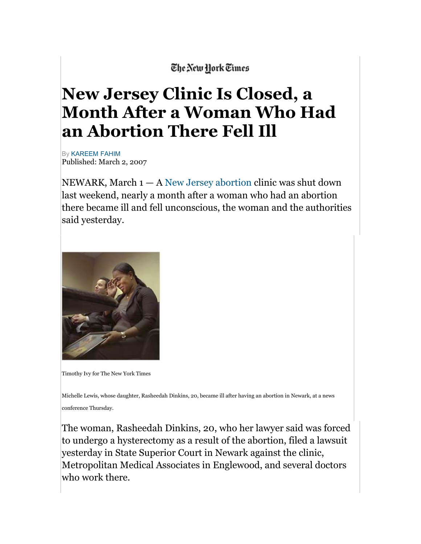## The New York Times

## **New Jersey Clinic Is Closed, a Month After a Woman Who Had an Abortion There Fell Ill**

By KAREEM FAHIM Published: March 2, 2007

NEWARK, March  $1 - A$  New Jersey abortion clinic was shut down last weekend, nearly a month after a woman who had an abortion there became ill and fell unconscious, the woman and the authorities said yesterday.



Timothy Ivy for The New York Times

Michelle Lewis, whose daughter, Rasheedah Dinkins, 20, became ill after having an abortion in Newark, at a news conference Thursday.

The woman, Rasheedah Dinkins, 20, who her lawyer said was forced to undergo a hysterectomy as a result of the abortion, filed a lawsuit yesterday in State Superior Court in Newark against the clinic, Metropolitan Medical Associates in Englewood, and several doctors who work there.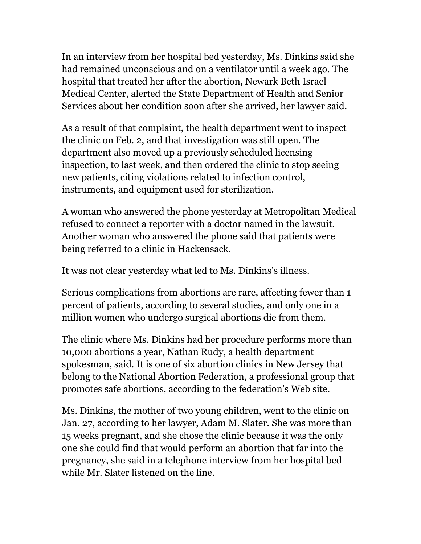In an interview from her hospital bed yesterday, Ms. Dinkins said she had remained unconscious and on a ventilator until a week ago. The hospital that treated her after the abortion, Newark Beth Israel Medical Center, alerted the State Department of Health and Senior Services about her condition soon after she arrived, her lawyer said.

As a result of that complaint, the health department went to inspect the clinic on Feb. 2, and that investigation was still open. The department also moved up a previously scheduled licensing inspection, to last week, and then ordered the clinic to stop seeing new patients, citing violations related to infection control, instruments, and equipment used for sterilization.

A woman who answered the phone yesterday at Metropolitan Medical refused to connect a reporter with a doctor named in the lawsuit. Another woman who answered the phone said that patients were being referred to a clinic in Hackensack.

It was not clear yesterday what led to Ms. Dinkins's illness.

Serious complications from abortions are rare, affecting fewer than 1 percent of patients, according to several studies, and only one in a million women who undergo surgical abortions die from them.

The clinic where Ms. Dinkins had her procedure performs more than 10,000 abortions a year, Nathan Rudy, a health department spokesman, said. It is one of six abortion clinics in New Jersey that belong to the National Abortion Federation, a professional group that promotes safe abortions, according to the federation's Web site.

Ms. Dinkins, the mother of two young children, went to the clinic on Jan. 27, according to her lawyer, Adam M. Slater. She was more than 15 weeks pregnant, and she chose the clinic because it was the only one she could find that would perform an abortion that far into the pregnancy, she said in a telephone interview from her hospital bed while Mr. Slater listened on the line.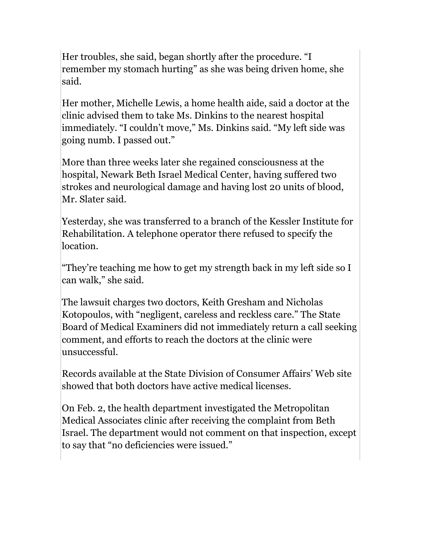Her troubles, she said, began shortly after the procedure. "I remember my stomach hurting" as she was being driven home, she said.

Her mother, Michelle Lewis, a home health aide, said a doctor at the clinic advised them to take Ms. Dinkins to the nearest hospital immediately. "I couldn't move," Ms. Dinkins said. "My left side was going numb. I passed out."

More than three weeks later she regained consciousness at the hospital, Newark Beth Israel Medical Center, having suffered two strokes and neurological damage and having lost 20 units of blood, Mr. Slater said.

Yesterday, she was transferred to a branch of the Kessler Institute for Rehabilitation. A telephone operator there refused to specify the location.

"They're teaching me how to get my strength back in my left side so I can walk," she said.

The lawsuit charges two doctors, Keith Gresham and Nicholas Kotopoulos, with "negligent, careless and reckless care." The State Board of Medical Examiners did not immediately return a call seeking comment, and efforts to reach the doctors at the clinic were unsuccessful.

Records available at the State Division of Consumer Affairs' Web site showed that both doctors have active medical licenses.

On Feb. 2, the health department investigated the Metropolitan Medical Associates clinic after receiving the complaint from Beth Israel. The department would not comment on that inspection, except to say that "no deficiencies were issued."